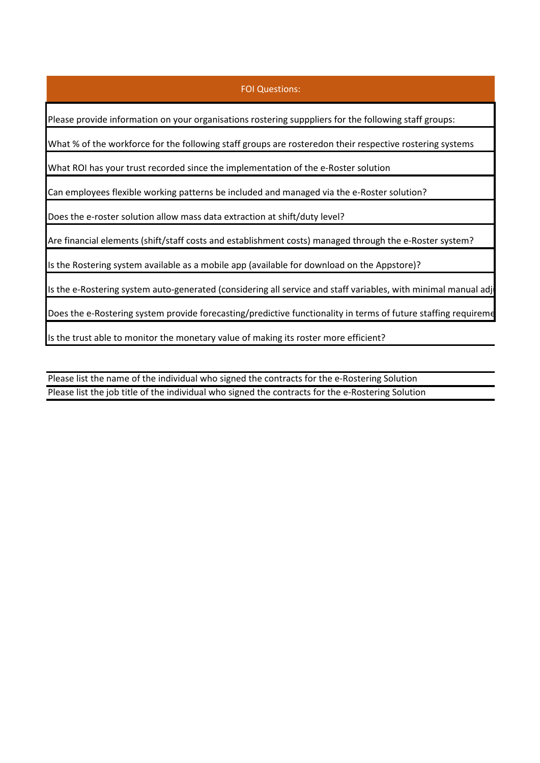## FOI Questions:

Please provide information on your organisations rostering supppliers for the following staff groups:

What % of the workforce for the following staff groups are rosteredon their respective rostering systems

What ROI has your trust recorded since the implementation of the e-Roster solution

Can employees flexible working patterns be included and managed via the e-Roster solution?

Does the e-roster solution allow mass data extraction at shift/duty level?

Are financial elements (shift/staff costs and establishment costs) managed through the e-Roster system?

Is the Rostering system available as a mobile app (available for download on the Appstore)?

Is the e-Rostering system auto-generated (considering all service and staff variables, with minimal manual adj

Does the e-Rostering system provide forecasting/predictive functionality in terms of future staffing requireme

Is the trust able to monitor the monetary value of making its roster more efficient?

Please list the name of the individual who signed the contracts for the e-Rostering Solution Please list the job title of the individual who signed the contracts for the e-Rostering Solution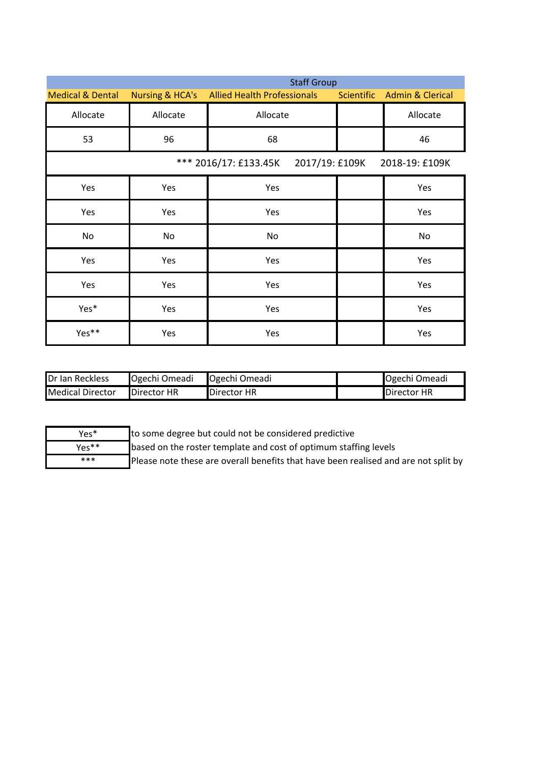|                             | <b>Staff Group</b>         |                                      |                   |                             |  |
|-----------------------------|----------------------------|--------------------------------------|-------------------|-----------------------------|--|
| <b>Medical &amp; Dental</b> | <b>Nursing &amp; HCA's</b> | <b>Allied Health Professionals</b>   | <b>Scientific</b> | <b>Admin &amp; Clerical</b> |  |
| Allocate                    | Allocate                   | Allocate                             |                   | Allocate                    |  |
| 53                          | 96                         | 68                                   |                   | 46                          |  |
|                             |                            | *** 2016/17: £133.45K 2017/19: £109K |                   | 2018-19: £109K              |  |
| Yes                         | Yes                        | Yes                                  |                   | Yes                         |  |
| Yes                         | Yes                        | Yes                                  |                   | Yes                         |  |
| No                          | No                         | No                                   |                   | No                          |  |
| Yes                         | Yes                        | Yes                                  |                   | Yes                         |  |
| Yes                         | Yes                        | Yes                                  |                   | Yes                         |  |
| Yes*                        | Yes                        | Yes                                  |                   | Yes                         |  |
| Yes**                       | Yes                        | Yes                                  |                   | Yes                         |  |

| <b>IDr Ian Reckless</b>   | Ogechi Omeadi | <b>Ogechi Omeadi</b> | <b>Ogechi Omeadi</b> |
|---------------------------|---------------|----------------------|----------------------|
| <b>I</b> Medical Director | Director HR   | Director HR          | Director HR          |

| Yes*  |
|-------|
| Yes** |
| ***   |

to some degree but could not be considered predictive

based on the roster template and cost of optimum staffing levels

Please note these are overall benefits that have been realised and are not split by